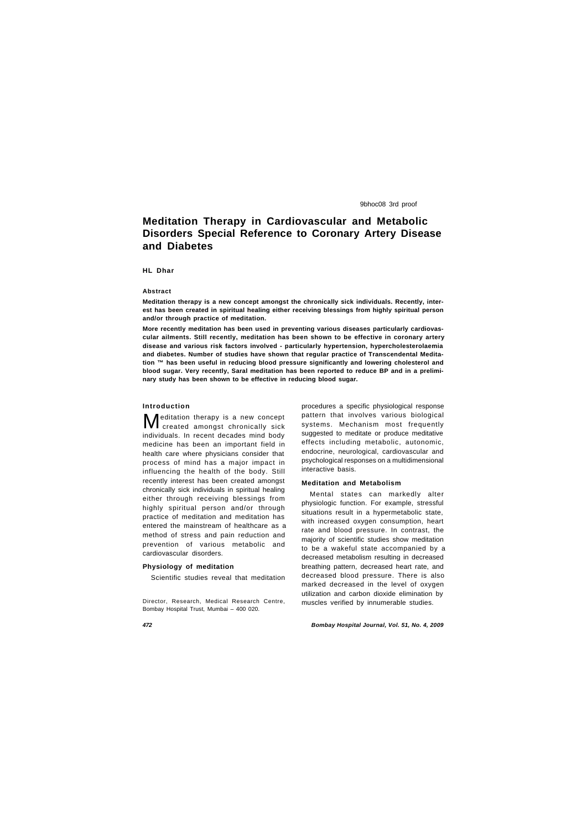# **Meditation Therapy in Cardiovascular and Metabolic Disorders Special Reference to Coronary Artery Disease and Diabetes**

#### **HL Dhar**

# **Abstract**

**Meditation therapy is a new concept amongst the chronically sick individuals. Recently, interest has been created in spiritual healing either receiving blessings from highly spiritual person and/or through practice of meditation.**

**More recently meditation has been used in preventing various diseases particularly cardiovascular ailments. Still recently, meditation has been shown to be effective in coronary artery disease and various risk factors involved - particularly hypertension, hypercholesterolaemia and diabetes. Number of studies have shown that regular practice of Transcendental Meditation ™ has been useful in reducing blood pressure significantly and lowering cholesterol and blood sugar. Very recently, Saral meditation has been reported to reduce BP and in a preliminary study has been shown to be effective in reducing blood sugar.**

**M** editation therapy is a new concept<br> **M** created amongst chronically sick created amongst chronically sick individuals. In recent decades mind body medicine has been an important field in health care where physicians consider that process of mind has a major impact in influencing the health of the body. Still recently interest has been created amongst chronically sick individuals in spiritual healing either through receiving blessings from highly spiritual person and/or through practice of meditation and meditation has entered the mainstream of healthcare as a method of stress and pain reduction and prevention of various metabolic and cardiovascular disorders.

# **Introduction**

## **Physiology of meditation**

Scientific studies reveal that meditation

Director, Research, Medical Research Centre, Bombay Hospital Trust, Mumbai – 400 020.

procedures a specific physiological response pattern that involves various biological systems. Mechanism most frequently suggested to meditate or produce meditative effects including metabolic, autonomic, endocrine, neurological, cardiovascular and psychological responses on a multidimensional interactive basis.

## **Meditation and Metabolism**

Mental states can markedly alter physiologic function. For example, stressful situations result in a hypermetabolic state, with increased oxygen consumption, heart rate and blood pressure. In contrast, the majority of scientific studies show meditation to be a wakeful state accompanied by a decreased metabolism resulting in decreased breathing pattern, decreased heart rate, and decreased blood pressure. There is also marked decreased in the level of oxygen utilization and carbon dioxide elimination by muscles verified by innumerable studies.

9bhoc08 3rd proof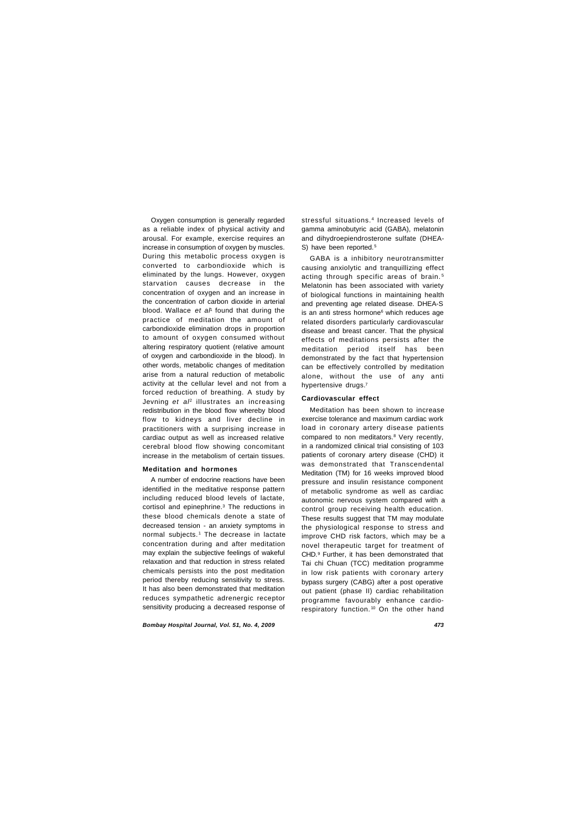Oxygen consumption is generally regarded as a reliable index of physical activity and arousal. For example, exercise requires an increase in consumption of oxygen by muscles. During this metabolic process oxygen is converted to carbondioxide which is eliminated by the lungs. However, oxygen starvation causes decrease in the concentration of oxygen and an increase in the concentration of carbon dioxide in arterial blood. Wallace *et al*<sup>1</sup> found that during the practice of meditation the amount of carbondioxide elimination drops in proportion to amount of oxygen consumed without altering respiratory quotient (relative amount of oxygen and carbondioxide in the blood). In other words, metabolic changes of meditation arise from a natural reduction of metabolic activity at the cellular level and not from a forced reduction of breathing. A study by Jevning *et al*<sup>2</sup> illustrates an increasing redistribution in the blood flow whereby blood flow to kidneys and liver decline in practitioners with a surprising increase in cardiac output as well as increased relative cerebral blood flow showing concomitant increase in the metabolism of certain tissues.

stressful situations.<sup>4</sup> Increased levels of gamma aminobutyric acid (GABA), melatonin and dihydroepiendrosterone sulfate (DHEA-S) have been reported.<sup>5</sup>

### **Meditation and hormones**

A number of endocrine reactions have been identified in the meditative response pattern including reduced blood levels of lactate, cortisol and epinephrine.<sup>3</sup> The reductions in these blood chemicals denote a state of decreased tension - an anxiety symptoms in normal subjects.<sup>1</sup> The decrease in lactate concentration during and after meditation may explain the subjective feelings of wakeful relaxation and that reduction in stress related chemicals persists into the post meditation period thereby reducing sensitivity to stress. It has also been demonstrated that meditation reduces sympathetic adrenergic receptor sensitivity producing a decreased response of

GABA is a inhibitory neurotransmitter causing anxiolytic and tranquillizing effect acting through specific areas of brain. <sup>5</sup> Melatonin has been associated with variety of biological functions in maintaining health and preventing age related disease. DHEA-S is an anti stress hormone<sup>6</sup> which reduces age related disorders particularly cardiovascular disease and breast cancer. That the physical effects of meditations persists after the meditation period itself has been demonstrated by the fact that hypertension can be effectively controlled by meditation alone, without the use of any anti hypertensive drugs.<sup>7</sup>

#### **Cardiovascular effect**

Meditation has been shown to increase exercise tolerance and maximum cardiac work load in coronary artery disease patients compared to non meditators.<sup>8</sup> Very recently, in a randomized clinical trial consisting of 103 patients of coronary artery disease (CHD) it was demonstrated that Transcendental Meditation (TM) for 16 weeks improved blood pressure and insulin resistance component of metabolic syndrome as well as cardiac autonomic nervous system compared with a control group receiving health education. These results suggest that TM may modulate the physiological response to stress and improve CHD risk factors, which may be a novel therapeutic target for treatment of CHD.<sup>9</sup> Further, it has been demonstrated that Tai chi Chuan (TCC) meditation programme in low risk patients with coronary artery bypass surgery (CABG) after a post operative out patient (phase II) cardiac rehabilitation programme favourably enhance cardiorespiratory function. <sup>10</sup> On the other hand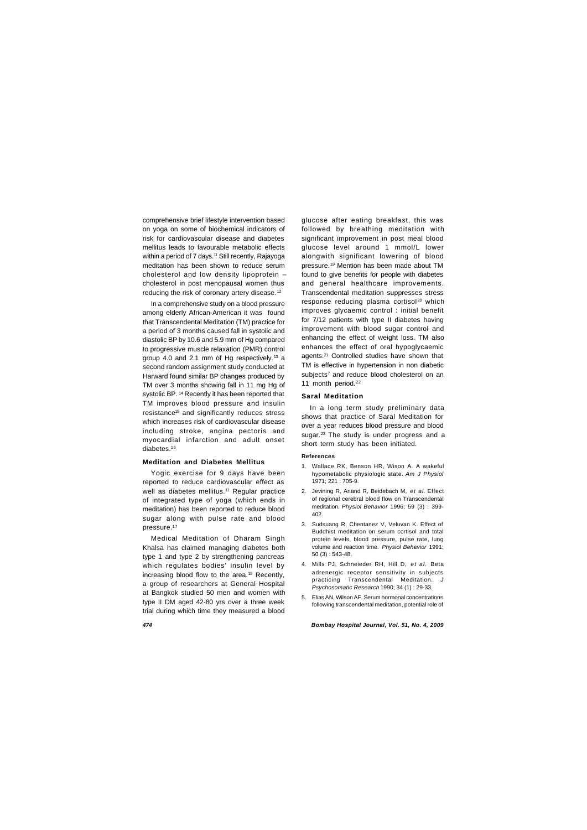comprehensive brief lifestyle intervention based on yoga on some of biochemical indicators of risk for cardiovascular disease and diabetes mellitus leads to favourable metabolic effects within a period of 7 days.<sup>11</sup> Still recently, Rajayoga meditation has been shown to reduce serum cholesterol and low density lipoprotein – cholesterol in post menopausal women thus reducing the risk of coronary artery disease.<sup>12</sup>

In a comprehensive study on a blood pressure among elderly African-American it was found that Transcendental Meditation (TM) practice for a period of 3 months caused fall in systolic and diastolic BP by 10.6 and 5.9 mm of Hg compared to progressive muscle relaxation (PMR) control group 4.0 and 2.1 mm of Hg respectively.13 a second random assignment study conducted at Harward found similar BP changes produced by TM over 3 months showing fall in 11 mg Hg of systolic BP. <sup>14</sup> Recently it has been reported that TM improves blood pressure and insulin resistance<sup>15</sup> and significantly reduces stress which increases risk of cardiovascular disease including stroke, angina pectoris and myocardial infarction and adult onset diabetes.<sup>16</sup>

glucose after eating breakfast, this was followed by breathing meditation with significant improvement in post meal blood glucose level around 1 mmol/L lower alongwith significant lowering of blood pressure.19 Mention has been made about TM found to give benefits for people with diabetes and general healthcare improvements. Transcendental meditation suppresses stress response reducing plasma cortisol<sup>20</sup> which improves glycaemic control : initial benefit for 7/12 patients with type II diabetes having improvement with blood sugar control and enhancing the effect of weight loss. TM also enhances the effect of oral hypoglycaemic agents.21 Controlled studies have shown that TM is effective in hypertension in non diabetic subjects<sup>7</sup> and reduce blood cholesterol on an 11 month period.<sup>22</sup>

#### **Meditation and Diabetes Mellitus**

Yogic exercise for 9 days have been reported to reduce cardiovascular effect as well as diabetes mellitus.<sup>11</sup> Regular practice of integrated type of yoga (which ends in meditation) has been reported to reduce blood sugar along with pulse rate and blood pressure.<sup>17</sup>

Medical Meditation of Dharam Singh Khalsa has claimed managing diabetes both type 1 and type 2 by strengthening pancreas which regulates bodies' insulin level by increasing blood flow to the area.18 Recently, a group of researchers at General Hospital at Bangkok studied 50 men and women with type II DM aged 42-80 yrs over a three week trial during which time they measured a blood

#### **Saral Meditation**

In a long term study preliminary data shows that practice of Saral Meditation for over a year reduces blood pressure and blood sugar.<sup>23</sup> The study is under progress and a short term study has been initiated.

# **References**

- 1. Wallace RK, Benson HR, Wison A. A wakeful hypometabolic physiologic state. *Am J Physiol* 1971; 221 : 705-9.
- 2. Jevining R, Anand R, Beidebach M, *et al.* Effect of regional cerebral blood flow on Transcendental meditation. *Physiol Behavior* 1996; 59 (3) : 399- 402.
- 3. Sudsuang R, Chentanez V, Veluvan K. Effect of Buddhist meditation on serum cortisol and total protein levels, blood pressure, pulse rate, lung volume and reaction time. *Physiol Behavior* 1991; 50 (3) : 543-48.
- 4. Mills PJ, Schneieder RH, Hill D, *et al.* Beta adrenergic receptor sensitivity in subjects practicing Transcendental Meditation. *J Psychosomatic Research* 1990; 34 (1) : 29-33.
- 5. Elias AN, Wilson AF. Serum hormonal concentrations following transcendental meditation, potential role of